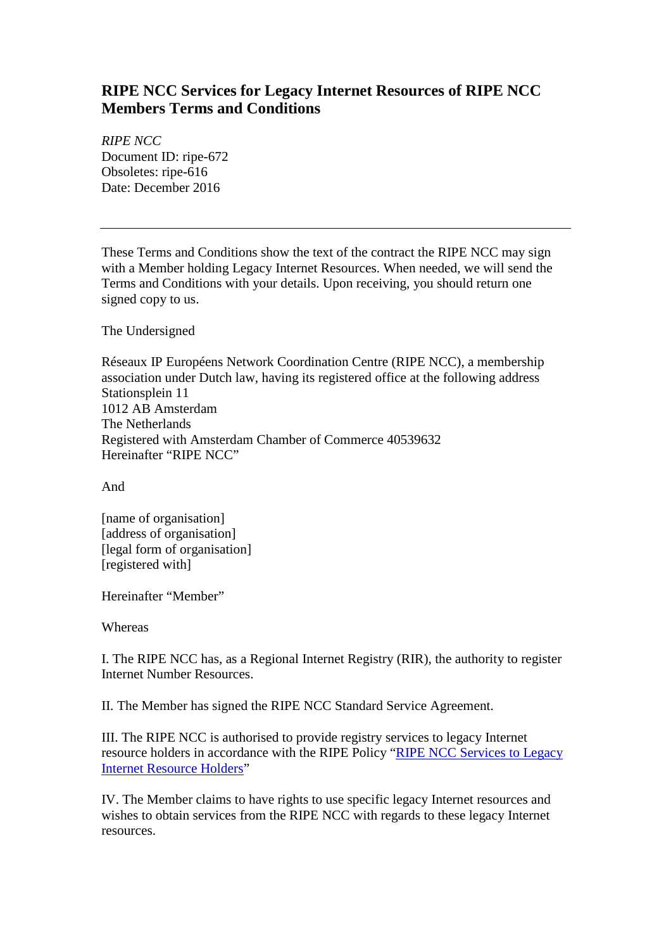# **RIPE NCC Services for Legacy Internet Resources of RIPE NCC Members Terms and Conditions**

*RIPE NCC* Document ID: ripe-672 Obsoletes: ripe-616 Date: December 2016

These Terms and Conditions show the text of the contract the RIPE NCC may sign with a Member holding Legacy Internet Resources. When needed, we will send the Terms and Conditions with your details. Upon receiving, you should return one signed copy to us.

The Undersigned

Réseaux IP Européens Network Coordination Centre (RIPE NCC), a membership association under Dutch law, having its registered office at the following address Stationsplein 11 1012 AB Amsterdam The Netherlands Registered with Amsterdam Chamber of Commerce 40539632 Hereinafter "RIPE NCC"

And

[name of organisation] [address of organisation] [legal form of organisation] [registered with]

Hereinafter "Member"

Whereas

I. The RIPE NCC has, as a Regional Internet Registry (RIR), the authority to register Internet Number Resources.

II. The Member has signed the RIPE NCC Standard Service Agreement.

III. The RIPE NCC is authorised to provide registry services to legacy Internet resource holders in accordance with the RIPE Policy ["RIPE NCC Services to Legacy](https://www.ripe.net/ripe/docs/ncc-services-to-legacy-holders)  [Internet Resource Holders"](https://www.ripe.net/ripe/docs/ncc-services-to-legacy-holders)

IV. The Member claims to have rights to use specific legacy Internet resources and wishes to obtain services from the RIPE NCC with regards to these legacy Internet resources.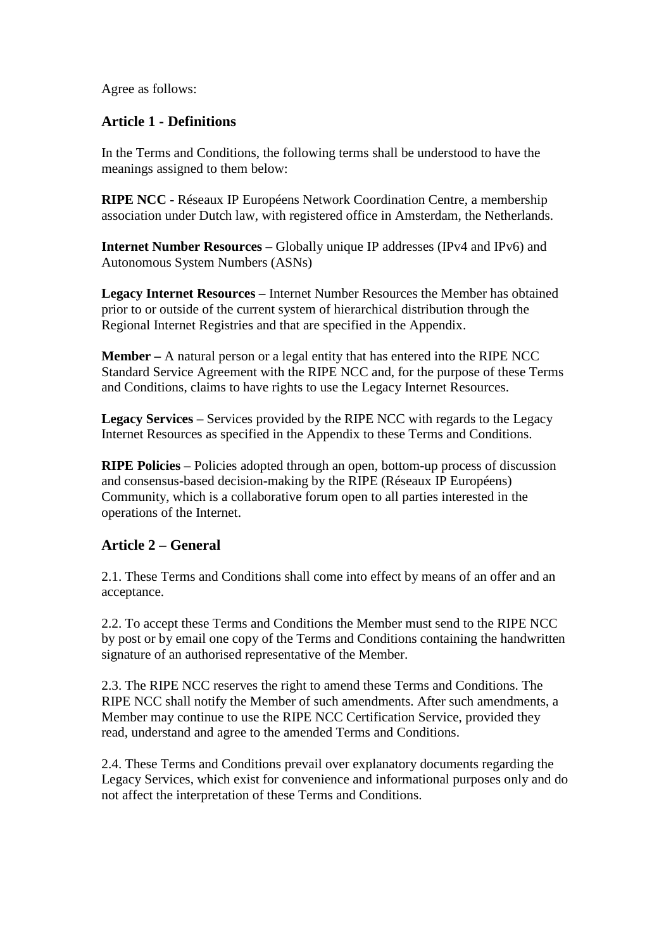Agree as follows:

#### **Article 1 - Definitions**

In the Terms and Conditions, the following terms shall be understood to have the meanings assigned to them below:

**RIPE NCC -** Réseaux IP Européens Network Coordination Centre, a membership association under Dutch law, with registered office in Amsterdam, the Netherlands.

**Internet Number Resources –** Globally unique IP addresses (IPv4 and IPv6) and Autonomous System Numbers (ASNs)

**Legacy Internet Resources –** Internet Number Resources the Member has obtained prior to or outside of the current system of hierarchical distribution through the Regional Internet Registries and that are specified in the Appendix.

**Member –** A natural person or a legal entity that has entered into the RIPE NCC Standard Service Agreement with the RIPE NCC and, for the purpose of these Terms and Conditions, claims to have rights to use the Legacy Internet Resources.

**Legacy Services** – Services provided by the RIPE NCC with regards to the Legacy Internet Resources as specified in the Appendix to these Terms and Conditions.

**RIPE Policies** – Policies adopted through an open, bottom-up process of discussion and consensus-based decision-making by the RIPE (Réseaux IP Européens) Community, which is a collaborative forum open to all parties interested in the operations of the Internet.

#### **Article 2 – General**

2.1. These Terms and Conditions shall come into effect by means of an offer and an acceptance.

2.2. To accept these Terms and Conditions the Member must send to the RIPE NCC by post or by email one copy of the Terms and Conditions containing the handwritten signature of an authorised representative of the Member.

2.3. The RIPE NCC reserves the right to amend these Terms and Conditions. The RIPE NCC shall notify the Member of such amendments. After such amendments, a Member may continue to use the RIPE NCC Certification Service, provided they read, understand and agree to the amended Terms and Conditions.

2.4. These Terms and Conditions prevail over explanatory documents regarding the Legacy Services, which exist for convenience and informational purposes only and do not affect the interpretation of these Terms and Conditions.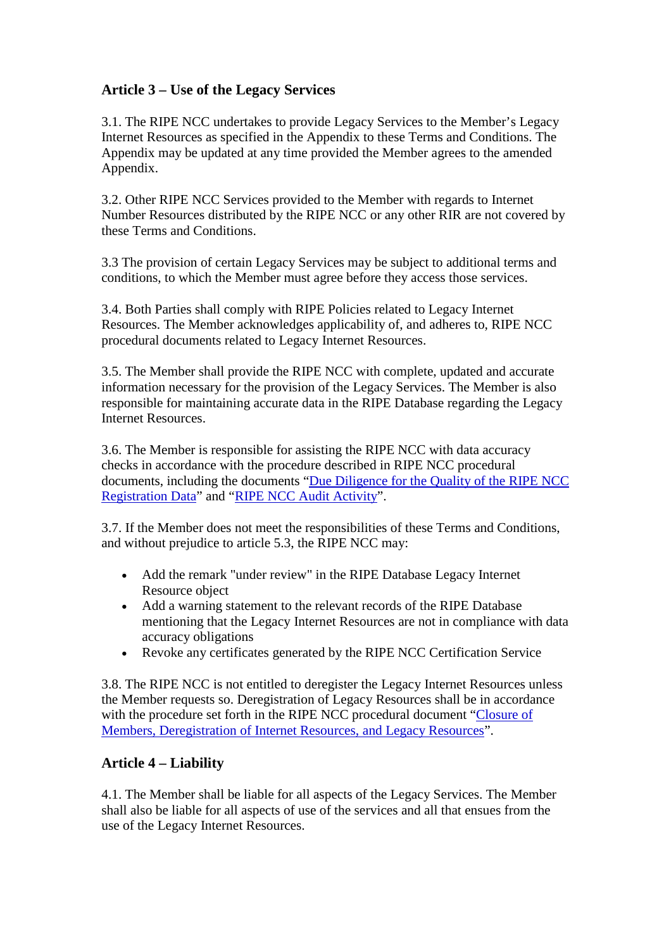## **Article 3 – Use of the Legacy Services**

3.1. The RIPE NCC undertakes to provide Legacy Services to the Member's Legacy Internet Resources as specified in the Appendix to these Terms and Conditions. The Appendix may be updated at any time provided the Member agrees to the amended Appendix.

3.2. Other RIPE NCC Services provided to the Member with regards to Internet Number Resources distributed by the RIPE NCC or any other RIR are not covered by these Terms and Conditions.

3.3 The provision of certain Legacy Services may be subject to additional terms and conditions, to which the Member must agree before they access those services.

3.4. Both Parties shall comply with RIPE Policies related to Legacy Internet Resources. The Member acknowledges applicability of, and adheres to, RIPE NCC procedural documents related to Legacy Internet Resources.

3.5. The Member shall provide the RIPE NCC with complete, updated and accurate information necessary for the provision of the Legacy Services. The Member is also responsible for maintaining accurate data in the RIPE Database regarding the Legacy Internet Resources.

3.6. The Member is responsible for assisting the RIPE NCC with data accuracy checks in accordance with the procedure described in RIPE NCC procedural documents, including the documents "Due Diligence for the Quality of the RIPE NCC [Registration Data"](https://www.ripe.net/ripe/docs/due-diligence) and ["RIPE NCC Audit Activity"](https://www.ripe.net/ripe/docs/audit).

3.7. If the Member does not meet the responsibilities of these Terms and Conditions, and without prejudice to article 5.3, the RIPE NCC may:

- Add the remark "under review" in the RIPE Database Legacy Internet Resource object
- Add a warning statement to the relevant records of the RIPE Database mentioning that the Legacy Internet Resources are not in compliance with data accuracy obligations
- Revoke any certificates generated by the RIPE NCC Certification Service

3.8. The RIPE NCC is not entitled to deregister the Legacy Internet Resources unless the Member requests so. Deregistration of Legacy Resources shall be in accordance with the procedure set forth in the RIPE NCC procedural document ["Closure of](https://www.ripe.net/ripe/docs/closure)  [Members, Deregistration of Internet Resources, and Legacy Resources"](https://www.ripe.net/ripe/docs/closure).

### **Article 4 – Liability**

4.1. The Member shall be liable for all aspects of the Legacy Services. The Member shall also be liable for all aspects of use of the services and all that ensues from the use of the Legacy Internet Resources.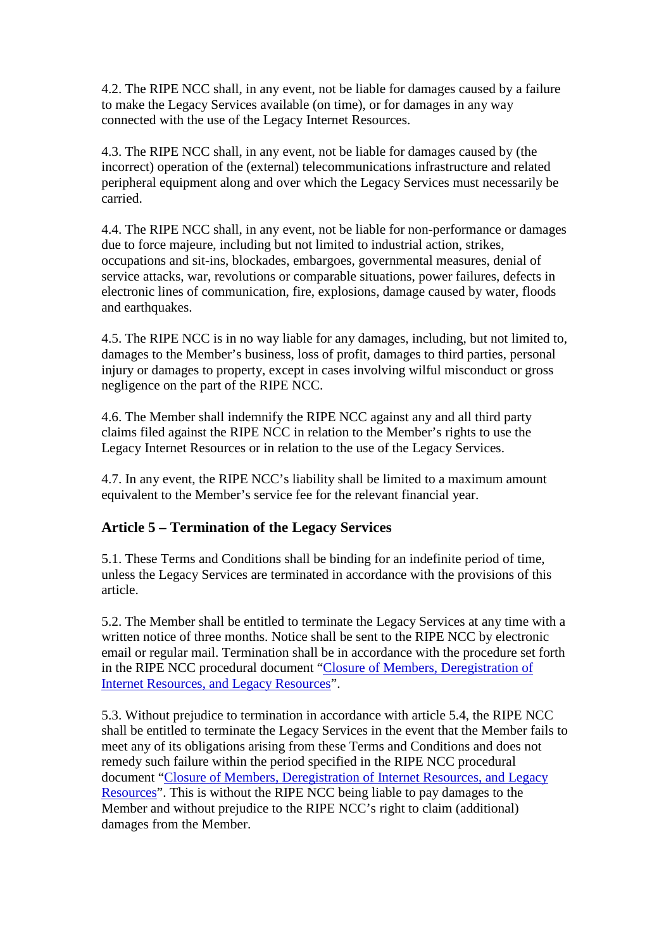4.2. The RIPE NCC shall, in any event, not be liable for damages caused by a failure to make the Legacy Services available (on time), or for damages in any way connected with the use of the Legacy Internet Resources.

4.3. The RIPE NCC shall, in any event, not be liable for damages caused by (the incorrect) operation of the (external) telecommunications infrastructure and related peripheral equipment along and over which the Legacy Services must necessarily be carried.

4.4. The RIPE NCC shall, in any event, not be liable for non-performance or damages due to force majeure, including but not limited to industrial action, strikes, occupations and sit-ins, blockades, embargoes, governmental measures, denial of service attacks, war, revolutions or comparable situations, power failures, defects in electronic lines of communication, fire, explosions, damage caused by water, floods and earthquakes.

4.5. The RIPE NCC is in no way liable for any damages, including, but not limited to, damages to the Member's business, loss of profit, damages to third parties, personal injury or damages to property, except in cases involving wilful misconduct or gross negligence on the part of the RIPE NCC.

4.6. The Member shall indemnify the RIPE NCC against any and all third party claims filed against the RIPE NCC in relation to the Member's rights to use the Legacy Internet Resources or in relation to the use of the Legacy Services.

4.7. In any event, the RIPE NCC's liability shall be limited to a maximum amount equivalent to the Member's service fee for the relevant financial year.

### **Article 5 – Termination of the Legacy Services**

5.1. These Terms and Conditions shall be binding for an indefinite period of time, unless the Legacy Services are terminated in accordance with the provisions of this article.

5.2. The Member shall be entitled to terminate the Legacy Services at any time with a written notice of three months. Notice shall be sent to the RIPE NCC by electronic email or regular mail. Termination shall be in accordance with the procedure set forth in the RIPE NCC procedural document ["Closure of Members, Deregistration of](https://www.ripe.net/ripe/docs/closure)  [Internet Resources, and Legacy Resources"](https://www.ripe.net/ripe/docs/closure).

5.3. Without prejudice to termination in accordance with article 5.4, the RIPE NCC shall be entitled to terminate the Legacy Services in the event that the Member fails to meet any of its obligations arising from these Terms and Conditions and does not remedy such failure within the period specified in the RIPE NCC procedural document ["Closure of Members, Deregistration of Internet Resources, and Legacy](https://www.ripe.net/ripe/docs/closure)  [Resources"](https://www.ripe.net/ripe/docs/closure). This is without the RIPE NCC being liable to pay damages to the Member and without prejudice to the RIPE NCC's right to claim (additional) damages from the Member.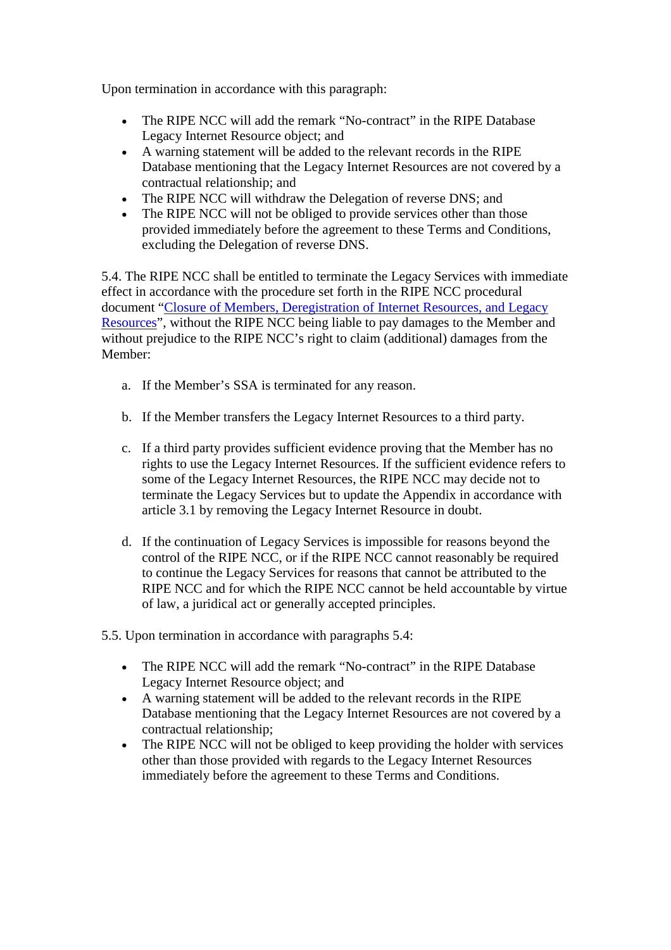Upon termination in accordance with this paragraph:

- The RIPE NCC will add the remark "No-contract" in the RIPE Database Legacy Internet Resource object; and
- A warning statement will be added to the relevant records in the RIPE Database mentioning that the Legacy Internet Resources are not covered by a contractual relationship; and
- The RIPE NCC will withdraw the Delegation of reverse DNS; and
- The RIPE NCC will not be obliged to provide services other than those provided immediately before the agreement to these Terms and Conditions, excluding the Delegation of reverse DNS.

5.4. The RIPE NCC shall be entitled to terminate the Legacy Services with immediate effect in accordance with the procedure set forth in the RIPE NCC procedural document ["Closure of Members, Deregistration of Internet Resources, and Legacy](https://www.ripe.net/ripe/docs/closure)  [Resources"](https://www.ripe.net/ripe/docs/closure), without the RIPE NCC being liable to pay damages to the Member and without prejudice to the RIPE NCC's right to claim (additional) damages from the Member:

- a. If the Member's SSA is terminated for any reason.
- b. If the Member transfers the Legacy Internet Resources to a third party.
- c. If a third party provides sufficient evidence proving that the Member has no rights to use the Legacy Internet Resources. If the sufficient evidence refers to some of the Legacy Internet Resources, the RIPE NCC may decide not to terminate the Legacy Services but to update the Appendix in accordance with article 3.1 by removing the Legacy Internet Resource in doubt.
- d. If the continuation of Legacy Services is impossible for reasons beyond the control of the RIPE NCC, or if the RIPE NCC cannot reasonably be required to continue the Legacy Services for reasons that cannot be attributed to the RIPE NCC and for which the RIPE NCC cannot be held accountable by virtue of law, a juridical act or generally accepted principles.
- 5.5. Upon termination in accordance with paragraphs 5.4:
	- The RIPE NCC will add the remark "No-contract" in the RIPE Database Legacy Internet Resource object; and
	- A warning statement will be added to the relevant records in the RIPE Database mentioning that the Legacy Internet Resources are not covered by a contractual relationship;
	- The RIPE NCC will not be obliged to keep providing the holder with services other than those provided with regards to the Legacy Internet Resources immediately before the agreement to these Terms and Conditions.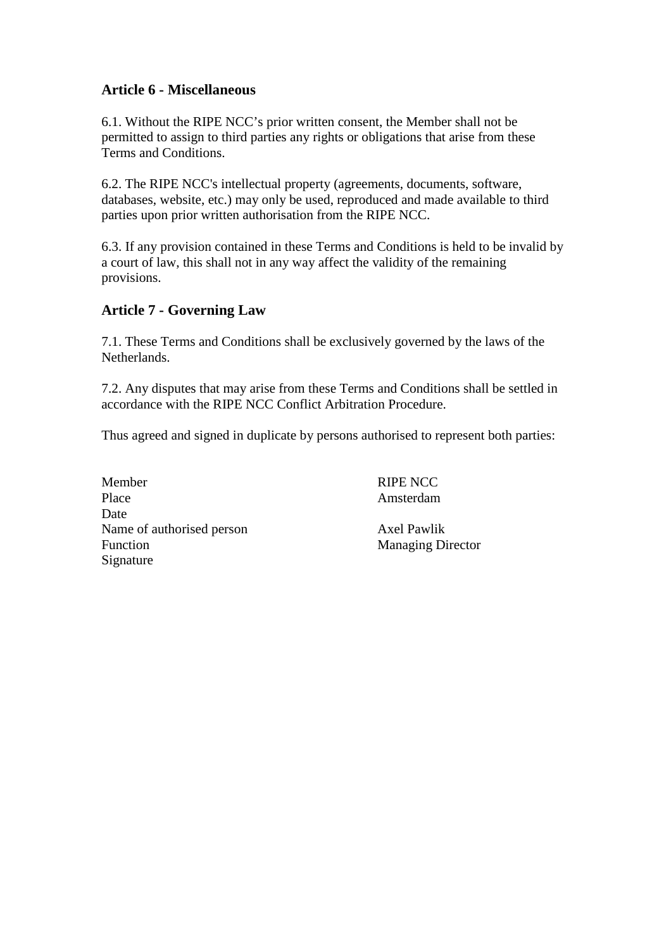#### **Article 6 - Miscellaneous**

6.1. Without the RIPE NCC's prior written consent, the Member shall not be permitted to assign to third parties any rights or obligations that arise from these Terms and Conditions.

6.2. The RIPE NCC's intellectual property (agreements, documents, software, databases, website, etc.) may only be used, reproduced and made available to third parties upon prior written authorisation from the RIPE NCC.

6.3. If any provision contained in these Terms and Conditions is held to be invalid by a court of law, this shall not in any way affect the validity of the remaining provisions.

### **Article 7 - Governing Law**

7.1. These Terms and Conditions shall be exclusively governed by the laws of the Netherlands.

7.2. Any disputes that may arise from these Terms and Conditions shall be settled in accordance with the RIPE NCC Conflict Arbitration Procedure.

Thus agreed and signed in duplicate by persons authorised to represent both parties:

Member RIPE NCC Place Amsterdam Date Name of authorised person Axel Pawlik Function Managing Director Signature